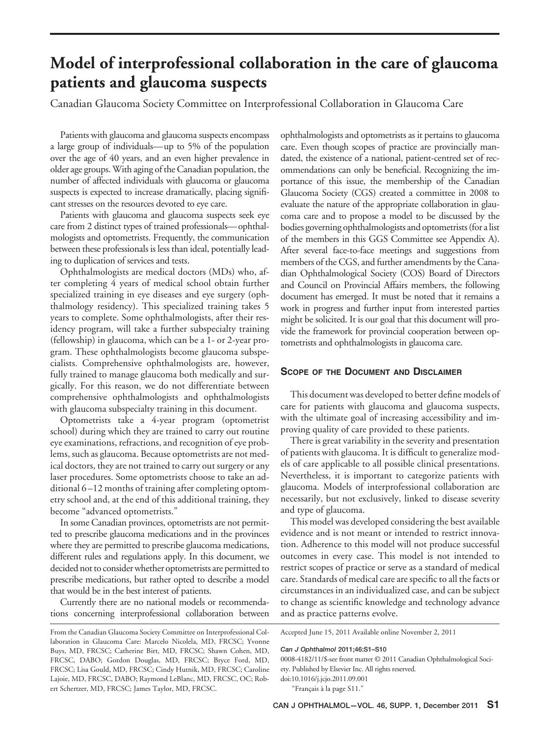# **Model of interprofessional collaboration in the care of glaucoma patients and glaucoma suspects**

Canadian Glaucoma Society Committee on Interprofessional Collaboration in Glaucoma Care

Patients with glaucoma and glaucoma suspects encompass a large group of individuals—up to 5% of the population over the age of 40 years, and an even higher prevalence in older age groups. With aging of the Canadian population, the number of affected individuals with glaucoma or glaucoma suspects is expected to increase dramatically, placing significant stresses on the resources devoted to eye care.

Patients with glaucoma and glaucoma suspects seek eye care from 2 distinct types of trained professionals—ophthalmologists and optometrists. Frequently, the communication between these professionals is less than ideal, potentially leading to duplication of services and tests.

Ophthalmologists are medical doctors (MDs) who, after completing 4 years of medical school obtain further specialized training in eye diseases and eye surgery (ophthalmology residency). This specialized training takes 5 years to complete. Some ophthalmologists, after their residency program, will take a further subspecialty training (fellowship) in glaucoma, which can be a 1- or 2-year program. These ophthalmologists become glaucoma subspecialists. Comprehensive ophthalmologists are, however, fully trained to manage glaucoma both medically and surgically. For this reason, we do not differentiate between comprehensive ophthalmologists and ophthalmologists with glaucoma subspecialty training in this document.

Optometrists take a 4-year program (optometrist school) during which they are trained to carry out routine eye examinations, refractions, and recognition of eye problems, such as glaucoma. Because optometrists are not medical doctors, they are not trained to carry out surgery or any laser procedures. Some optometrists choose to take an additional 6–12 months of training after completing optometry school and, at the end of this additional training, they become "advanced optometrists."

In some Canadian provinces, optometrists are not permitted to prescribe glaucoma medications and in the provinces where they are permitted to prescribe glaucoma medications, different rules and regulations apply. In this document, we decided not to consider whether optometrists are permitted to prescribe medications, but rather opted to describe a model that would be in the best interest of patients.

Currently there are no national models or recommendations concerning interprofessional collaboration between

ophthalmologists and optometrists as it pertains to glaucoma care. Even though scopes of practice are provincially mandated, the existence of a national, patient-centred set of recommendations can only be beneficial. Recognizing the importance of this issue, the membership of the Canadian Glaucoma Society (CGS) created a committee in 2008 to evaluate the nature of the appropriate collaboration in glaucoma care and to propose a model to be discussed by the bodies governing ophthalmologists and optometrists (for a list of the members in this GGS Committee see Appendix A). After several face-to-face meetings and suggestions from members of the CGS, and further amendments by the Canadian Ophthalmological Society (COS) Board of Directors and Council on Provincial Affairs members, the following document has emerged. It must be noted that it remains a work in progress and further input from interested parties might be solicited. It is our goal that this document will provide the framework for provincial cooperation between optometrists and ophthalmologists in glaucoma care.

#### **SCOPE OF THE DOCUMENT AND DISCLAIMER**

This document was developed to better define models of care for patients with glaucoma and glaucoma suspects, with the ultimate goal of increasing accessibility and improving quality of care provided to these patients.

There is great variability in the severity and presentation of patients with glaucoma. It is difficult to generalize models of care applicable to all possible clinical presentations. Nevertheless, it is important to categorize patients with glaucoma. Models of interprofessional collaboration are necessarily, but not exclusively, linked to disease severity and type of glaucoma.

This model was developed considering the best available evidence and is not meant or intended to restrict innovation. Adherence to this model will not produce successful outcomes in every case. This model is not intended to restrict scopes of practice or serve as a standard of medical care. Standards of medical care are specific to all the facts or circumstances in an individualized case, and can be subject to change as scientific knowledge and technology advance and as practice patterns evolve.

Accepted June 15, 2011 Available online November 2, 2011

#### *Can J Ophthalmol* **2011;46:S1–S10**

0008-4182/11/\$-see front matter © 2011 Canadian Ophthalmological Society. Published by Elsevier Inc. All rights reserved. doi:10.1016/j.jcjo.2011.09.001

"Français à la page S11."

From the Canadian Glaucoma Society Committee on Interprofessional Collaboration in Glaucoma Care: Marcelo Nicolela, MD, FRCSC; Yvonne Buys, MD, FRCSC; Catherine Birt, MD, FRCSC; Shawn Cohen, MD, FRCSC, DABO; Gordon Douglas, MD, FRCSC; Bryce Ford, MD, FRCSC; Lisa Gould, MD, FRCSC; Cindy Hutnik, MD, FRCSC; Caroline Lajoie, MD, FRCSC, DABO; Raymond LeBlanc, MD, FRCSC, OC; Robert Schertzer, MD, FRCSC; James Taylor, MD, FRCSC.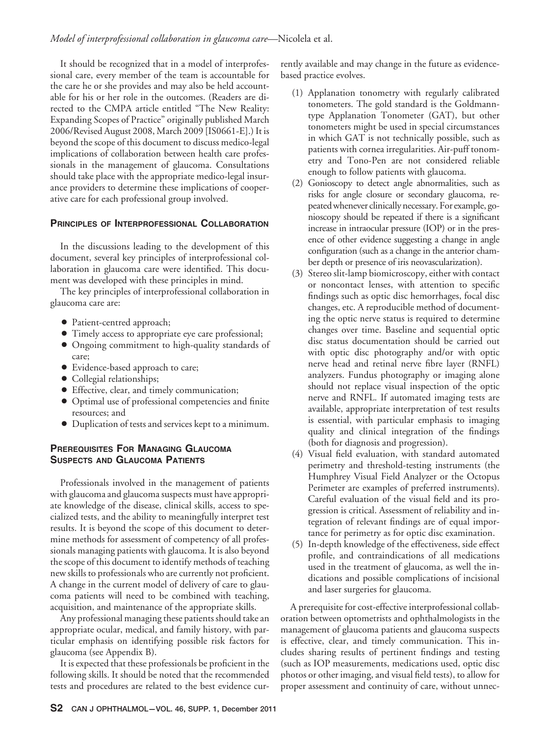It should be recognized that in a model of interprofessional care, every member of the team is accountable for the care he or she provides and may also be held accountable for his or her role in the outcomes. (Readers are directed to the CMPA article entitled "The New Reality: Expanding Scopes of Practice" originally published March 2006/Revised August 2008, March 2009 [IS0661-E].) It is beyond the scope of this document to discuss medico-legal implications of collaboration between health care professionals in the management of glaucoma. Consultations should take place with the appropriate medico-legal insurance providers to determine these implications of cooperative care for each professional group involved.

# **PRINCIPLES OF INTERPROFESSIONAL COLLABORATION**

In the discussions leading to the development of this document, several key principles of interprofessional collaboration in glaucoma care were identified. This document was developed with these principles in mind.

The key principles of interprofessional collaboration in glaucoma care are:

- Patient-centred approach;
- Timely access to appropriate eye care professional;
- Ongoing commitment to high-quality standards of care;
- Evidence-based approach to care;
- Collegial relationships;
- Effective, clear, and timely communication;
- Optimal use of professional competencies and finite resources; and
- Duplication of tests and services kept to a minimum.

# **PREREQUISITES FOR MANAGING GLAUCOMA SUSPECTS AND GLAUCOMA PATIENTS**

Professionals involved in the management of patients with glaucoma and glaucoma suspects must have appropriate knowledge of the disease, clinical skills, access to specialized tests, and the ability to meaningfully interpret test results. It is beyond the scope of this document to determine methods for assessment of competency of all professionals managing patients with glaucoma. It is also beyond the scope of this document to identify methods of teaching new skills to professionals who are currently not proficient. A change in the current model of delivery of care to glaucoma patients will need to be combined with teaching, acquisition, and maintenance of the appropriate skills.

Any professional managing these patients should take an appropriate ocular, medical, and family history, with particular emphasis on identifying possible risk factors for glaucoma (see Appendix B).

It is expected that these professionals be proficient in the following skills. It should be noted that the recommended tests and procedures are related to the best evidence currently available and may change in the future as evidencebased practice evolves.

- (1) Applanation tonometry with regularly calibrated tonometers. The gold standard is the Goldmanntype Applanation Tonometer (GAT), but other tonometers might be used in special circumstances in which GAT is not technically possible, such as patients with cornea irregularities. Air-puff tonometry and Tono-Pen are not considered reliable enough to follow patients with glaucoma.
- (2) Gonioscopy to detect angle abnormalities, such as risks for angle closure or secondary glaucoma, repeated whenever clinically necessary. For example, gonioscopy should be repeated if there is a significant increase in intraocular pressure (IOP) or in the presence of other evidence suggesting a change in angle configuration (such as a change in the anterior chamber depth or presence of iris neovascularization).
- (3) Stereo slit-lamp biomicroscopy, either with contact or noncontact lenses, with attention to specific findings such as optic disc hemorrhages, focal disc changes, etc. A reproducible method of documenting the optic nerve status is required to determine changes over time. Baseline and sequential optic disc status documentation should be carried out with optic disc photography and/or with optic nerve head and retinal nerve fibre layer (RNFL) analyzers. Fundus photography or imaging alone should not replace visual inspection of the optic nerve and RNFL. If automated imaging tests are available, appropriate interpretation of test results is essential, with particular emphasis to imaging quality and clinical integration of the findings (both for diagnosis and progression).
- (4) Visual field evaluation, with standard automated perimetry and threshold-testing instruments (the Humphrey Visual Field Analyzer or the Octopus Perimeter are examples of preferred instruments). Careful evaluation of the visual field and its progression is critical. Assessment of reliability and integration of relevant findings are of equal importance for perimetry as for optic disc examination.
- (5) In-depth knowledge of the effectiveness, side effect profile, and contraindications of all medications used in the treatment of glaucoma, as well the indications and possible complications of incisional and laser surgeries for glaucoma.

A prerequisite for cost-effective interprofessional collaboration between optometrists and ophthalmologists in the management of glaucoma patients and glaucoma suspects is effective, clear, and timely communication. This includes sharing results of pertinent findings and testing (such as IOP measurements, medications used, optic disc photos or other imaging, and visual field tests), to allow for proper assessment and continuity of care, without unnec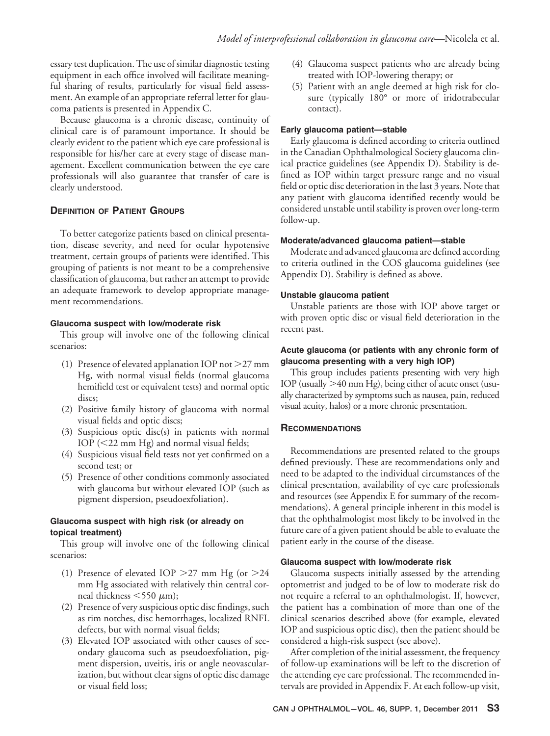essary test duplication. The use of similar diagnostic testing equipment in each office involved will facilitate meaningful sharing of results, particularly for visual field assessment. An example of an appropriate referral letter for glaucoma patients is presented in Appendix C.

Because glaucoma is a chronic disease, continuity of clinical care is of paramount importance. It should be clearly evident to the patient which eye care professional is responsible for his/her care at every stage of disease management. Excellent communication between the eye care professionals will also guarantee that transfer of care is clearly understood.

## **DEFINITION OF PATIENT GROUPS**

To better categorize patients based on clinical presentation, disease severity, and need for ocular hypotensive treatment, certain groups of patients were identified. This grouping of patients is not meant to be a comprehensive classification of glaucoma, but rather an attempt to provide an adequate framework to develop appropriate management recommendations.

#### **Glaucoma suspect with low/moderate risk**

This group will involve one of the following clinical scenarios:

- (1) Presence of elevated applanation IOP not  $>27$  mm Hg, with normal visual fields (normal glaucoma hemifield test or equivalent tests) and normal optic discs;
- (2) Positive family history of glaucoma with normal visual fields and optic discs;
- (3) Suspicious optic disc(s) in patients with normal IOP (<22 mm Hg) and normal visual fields;
- (4) Suspicious visual field tests not yet confirmed on a second test; or
- (5) Presence of other conditions commonly associated with glaucoma but without elevated IOP (such as pigment dispersion, pseudoexfoliation).

#### **Glaucoma suspect with high risk (or already on topical treatment)**

This group will involve one of the following clinical scenarios:

- (1) Presence of elevated IOP  $>27$  mm Hg (or  $>24$ mm Hg associated with relatively thin central corneal thickness  $<$  550  $\mu$ m);
- (2) Presence of very suspicious optic disc findings, such as rim notches, disc hemorrhages, localized RNFL defects, but with normal visual fields;
- (3) Elevated IOP associated with other causes of secondary glaucoma such as pseudoexfoliation, pigment dispersion, uveitis, iris or angle neovascularization, but without clear signs of optic disc damage or visual field loss;
- (4) Glaucoma suspect patients who are already being treated with IOP-lowering therapy; or
- (5) Patient with an angle deemed at high risk for closure (typically 180° or more of iridotrabecular contact).

## **Early glaucoma patient—stable**

Early glaucoma is defined according to criteria outlined in the Canadian Ophthalmological Society glaucoma clinical practice guidelines (see Appendix D). Stability is defined as IOP within target pressure range and no visual field or optic disc deterioration in the last 3 years. Note that any patient with glaucoma identified recently would be considered unstable until stability is proven over long-term follow-up.

#### **Moderate/advanced glaucoma patient—stable**

Moderate and advanced glaucoma are defined according to criteria outlined in the COS glaucoma guidelines (see Appendix D). Stability is defined as above.

#### **Unstable glaucoma patient**

Unstable patients are those with IOP above target or with proven optic disc or visual field deterioration in the recent past.

# **Acute glaucoma (or patients with any chronic form of glaucoma presenting with a very high IOP)**

This group includes patients presenting with very high IOP (usually  $>40$  mm Hg), being either of acute onset (usually characterized by symptoms such as nausea, pain, reduced visual acuity, halos) or a more chronic presentation.

## **RECOMMENDATIONS**

Recommendations are presented related to the groups defined previously. These are recommendations only and need to be adapted to the individual circumstances of the clinical presentation, availability of eye care professionals and resources (see Appendix E for summary of the recommendations). A general principle inherent in this model is that the ophthalmologist most likely to be involved in the future care of a given patient should be able to evaluate the patient early in the course of the disease.

#### **Glaucoma suspect with low/moderate risk**

Glaucoma suspects initially assessed by the attending optometrist and judged to be of low to moderate risk do not require a referral to an ophthalmologist. If, however, the patient has a combination of more than one of the clinical scenarios described above (for example, elevated IOP and suspicious optic disc), then the patient should be considered a high-risk suspect (see above).

After completion of the initial assessment, the frequency of follow-up examinations will be left to the discretion of the attending eye care professional. The recommended intervals are provided in Appendix F. At each follow-up visit,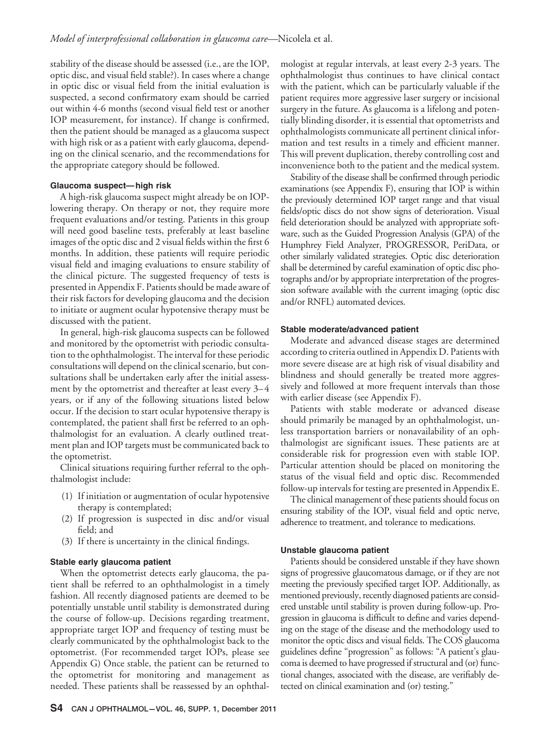stability of the disease should be assessed (i.e., are the IOP, optic disc, and visual field stable?). In cases where a change in optic disc or visual field from the initial evaluation is suspected, a second confirmatory exam should be carried out within 4-6 months (second visual field test or another IOP measurement, for instance). If change is confirmed, then the patient should be managed as a glaucoma suspect with high risk or as a patient with early glaucoma, depending on the clinical scenario, and the recommendations for the appropriate category should be followed.

#### **Glaucoma suspect—high risk**

A high-risk glaucoma suspect might already be on IOPlowering therapy. On therapy or not, they require more frequent evaluations and/or testing. Patients in this group will need good baseline tests, preferably at least baseline images of the optic disc and 2 visual fields within the first 6 months. In addition, these patients will require periodic visual field and imaging evaluations to ensure stability of the clinical picture. The suggested frequency of tests is presented in Appendix F. Patients should be made aware of their risk factors for developing glaucoma and the decision to initiate or augment ocular hypotensive therapy must be discussed with the patient.

In general, high-risk glaucoma suspects can be followed and monitored by the optometrist with periodic consultation to the ophthalmologist. The interval for these periodic consultations will depend on the clinical scenario, but consultations shall be undertaken early after the initial assessment by the optometrist and thereafter at least every 3–4 years, or if any of the following situations listed below occur. If the decision to start ocular hypotensive therapy is contemplated, the patient shall first be referred to an ophthalmologist for an evaluation. A clearly outlined treatment plan and IOP targets must be communicated back to the optometrist.

Clinical situations requiring further referral to the ophthalmologist include:

- (1) If initiation or augmentation of ocular hypotensive therapy is contemplated;
- (2) If progression is suspected in disc and/or visual field; and
- (3) If there is uncertainty in the clinical findings.

## **Stable early glaucoma patient**

When the optometrist detects early glaucoma, the patient shall be referred to an ophthalmologist in a timely fashion. All recently diagnosed patients are deemed to be potentially unstable until stability is demonstrated during the course of follow-up. Decisions regarding treatment, appropriate target IOP and frequency of testing must be clearly communicated by the ophthalmologist back to the optometrist. (For recommended target IOPs, please see Appendix G) Once stable, the patient can be returned to the optometrist for monitoring and management as needed. These patients shall be reassessed by an ophthalmologist at regular intervals, at least every 2-3 years. The ophthalmologist thus continues to have clinical contact with the patient, which can be particularly valuable if the patient requires more aggressive laser surgery or incisional surgery in the future. As glaucoma is a lifelong and potentially blinding disorder, it is essential that optometrists and ophthalmologists communicate all pertinent clinical information and test results in a timely and efficient manner. This will prevent duplication, thereby controlling cost and inconvenience both to the patient and the medical system.

Stability of the disease shall be confirmed through periodic examinations (see Appendix F), ensuring that IOP is within the previously determined IOP target range and that visual fields/optic discs do not show signs of deterioration. Visual field deterioration should be analyzed with appropriate software, such as the Guided Progression Analysis (GPA) of the Humphrey Field Analyzer, PROGRESSOR, PeriData, or other similarly validated strategies. Optic disc deterioration shall be determined by careful examination of optic disc photographs and/or by appropriate interpretation of the progression software available with the current imaging (optic disc and/or RNFL) automated devices.

#### **Stable moderate/advanced patient**

Moderate and advanced disease stages are determined according to criteria outlined in Appendix D. Patients with more severe disease are at high risk of visual disability and blindness and should generally be treated more aggressively and followed at more frequent intervals than those with earlier disease (see Appendix F).

Patients with stable moderate or advanced disease should primarily be managed by an ophthalmologist, unless transportation barriers or nonavailability of an ophthalmologist are significant issues. These patients are at considerable risk for progression even with stable IOP. Particular attention should be placed on monitoring the status of the visual field and optic disc. Recommended follow-up intervals for testing are presented in Appendix E.

The clinical management of these patients should focus on ensuring stability of the IOP, visual field and optic nerve, adherence to treatment, and tolerance to medications.

#### **Unstable glaucoma patient**

Patients should be considered unstable if they have shown signs of progressive glaucomatous damage, or if they are not meeting the previously specified target IOP. Additionally, as mentioned previously, recently diagnosed patients are considered unstable until stability is proven during follow-up. Progression in glaucoma is difficult to define and varies depending on the stage of the disease and the methodology used to monitor the optic discs and visual fields. The COS glaucoma guidelines define "progression" as follows: "A patient's glaucoma is deemed to have progressed if structural and (or) functional changes, associated with the disease, are verifiably detected on clinical examination and (or) testing."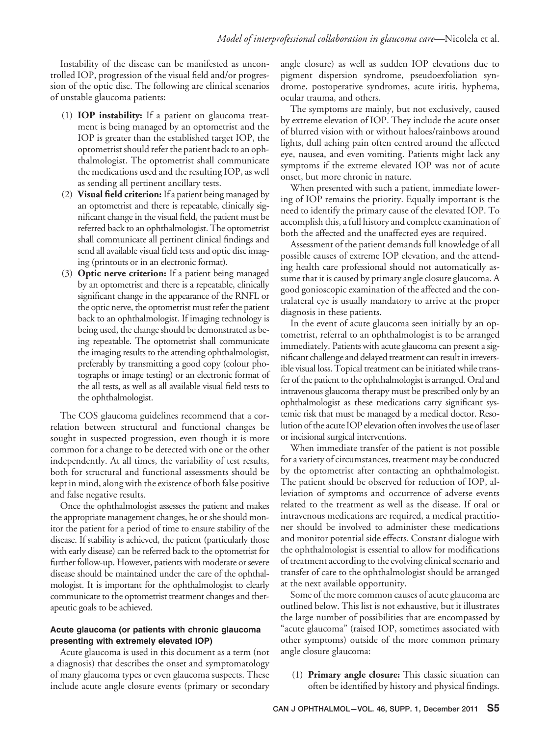Instability of the disease can be manifested as uncontrolled IOP, progression of the visual field and/or progression of the optic disc. The following are clinical scenarios of unstable glaucoma patients:

- (1) **IOP instability:** If a patient on glaucoma treatment is being managed by an optometrist and the IOP is greater than the established target IOP, the optometrist should refer the patient back to an ophthalmologist. The optometrist shall communicate the medications used and the resulting IOP, as well as sending all pertinent ancillary tests.
- (2) **Visual field criterion:** If a patient being managed by an optometrist and there is repeatable, clinically significant change in the visual field, the patient must be referred back to an ophthalmologist. The optometrist shall communicate all pertinent clinical findings and send all available visual field tests and optic disc imaging (printouts or in an electronic format).
- (3) **Optic nerve criterion:** If a patient being managed by an optometrist and there is a repeatable, clinically significant change in the appearance of the RNFL or the optic nerve, the optometrist must refer the patient back to an ophthalmologist. If imaging technology is being used, the change should be demonstrated as being repeatable. The optometrist shall communicate the imaging results to the attending ophthalmologist, preferably by transmitting a good copy (colour photographs or image testing) or an electronic format of the all tests, as well as all available visual field tests to the ophthalmologist.

The COS glaucoma guidelines recommend that a correlation between structural and functional changes be sought in suspected progression, even though it is more common for a change to be detected with one or the other independently. At all times, the variability of test results, both for structural and functional assessments should be kept in mind, along with the existence of both false positive and false negative results.

Once the ophthalmologist assesses the patient and makes the appropriate management changes, he or she should monitor the patient for a period of time to ensure stability of the disease. If stability is achieved, the patient (particularly those with early disease) can be referred back to the optometrist for further follow-up. However, patients with moderate or severe disease should be maintained under the care of the ophthalmologist. It is important for the ophthalmologist to clearly communicate to the optometrist treatment changes and therapeutic goals to be achieved.

## **Acute glaucoma (or patients with chronic glaucoma presenting with extremely elevated IOP)**

Acute glaucoma is used in this document as a term (not a diagnosis) that describes the onset and symptomatology of many glaucoma types or even glaucoma suspects. These include acute angle closure events (primary or secondary

angle closure) as well as sudden IOP elevations due to pigment dispersion syndrome, pseudoexfoliation syndrome, postoperative syndromes, acute iritis, hyphema, ocular trauma, and others.

The symptoms are mainly, but not exclusively, caused by extreme elevation of IOP. They include the acute onset of blurred vision with or without haloes/rainbows around lights, dull aching pain often centred around the affected eye, nausea, and even vomiting. Patients might lack any symptoms if the extreme elevated IOP was not of acute onset, but more chronic in nature.

When presented with such a patient, immediate lowering of IOP remains the priority. Equally important is the need to identify the primary cause of the elevated IOP. To accomplish this, a full history and complete examination of both the affected and the unaffected eyes are required.

Assessment of the patient demands full knowledge of all possible causes of extreme IOP elevation, and the attending health care professional should not automatically assume that it is caused by primary angle closure glaucoma. A good gonioscopic examination of the affected and the contralateral eye is usually mandatory to arrive at the proper diagnosis in these patients.

In the event of acute glaucoma seen initially by an optometrist, referral to an ophthalmologist is to be arranged immediately. Patients with acute glaucoma can present a significant challenge and delayed treatment can result in irreversible visual loss. Topical treatment can be initiated while transfer of the patient to the ophthalmologist is arranged. Oral and intravenous glaucoma therapy must be prescribed only by an ophthalmologist as these medications carry significant systemic risk that must be managed by a medical doctor. Resolution of the acute IOP elevation often involves the use of laser or incisional surgical interventions.

When immediate transfer of the patient is not possible for a variety of circumstances, treatment may be conducted by the optometrist after contacting an ophthalmologist. The patient should be observed for reduction of IOP, alleviation of symptoms and occurrence of adverse events related to the treatment as well as the disease. If oral or intravenous medications are required, a medical practitioner should be involved to administer these medications and monitor potential side effects. Constant dialogue with the ophthalmologist is essential to allow for modifications of treatment according to the evolving clinical scenario and transfer of care to the ophthalmologist should be arranged at the next available opportunity.

Some of the more common causes of acute glaucoma are outlined below. This list is not exhaustive, but it illustrates the large number of possibilities that are encompassed by "acute glaucoma" (raised IOP, sometimes associated with other symptoms) outside of the more common primary angle closure glaucoma:

(1) **Primary angle closure:** This classic situation can often be identified by history and physical findings.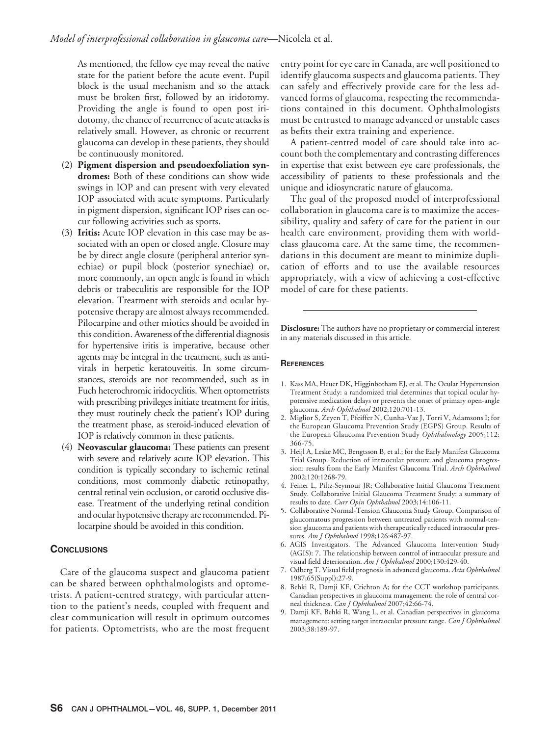As mentioned, the fellow eye may reveal the native state for the patient before the acute event. Pupil block is the usual mechanism and so the attack must be broken first, followed by an iridotomy. Providing the angle is found to open post iridotomy, the chance of recurrence of acute attacks is relatively small. However, as chronic or recurrent glaucoma can develop in these patients, they should be continuously monitored.

- (2) **Pigment dispersion and pseudoexfoliation syndromes:** Both of these conditions can show wide swings in IOP and can present with very elevated IOP associated with acute symptoms. Particularly in pigment dispersion, significant IOP rises can occur following activities such as sports.
- (3) **Iritis:** Acute IOP elevation in this case may be associated with an open or closed angle. Closure may be by direct angle closure (peripheral anterior synechiae) or pupil block (posterior synechiae) or, more commonly, an open angle is found in which debris or trabeculitis are responsible for the IOP elevation. Treatment with steroids and ocular hypotensive therapy are almost always recommended. Pilocarpine and other miotics should be avoided in this condition. Awareness of the differential diagnosis for hypertensive iritis is imperative, because other agents may be integral in the treatment, such as antivirals in herpetic keratouveitis. In some circumstances, steroids are not recommended, such as in Fuch heterochromic iridocyclitis. When optometrists with prescribing privileges initiate treatment for iritis, they must routinely check the patient's IOP during the treatment phase, as steroid-induced elevation of IOP is relatively common in these patients.
- (4) **Neovascular glaucoma:** These patients can present with severe and relatively acute IOP elevation. This condition is typically secondary to ischemic retinal conditions, most commonly diabetic retinopathy, central retinal vein occlusion, or carotid occlusive disease. Treatment of the underlying retinal condition and ocular hypotensive therapy are recommended. Pilocarpine should be avoided in this condition.

## **CONCLUSIONS**

Care of the glaucoma suspect and glaucoma patient can be shared between ophthalmologists and optometrists. A patient-centred strategy, with particular attention to the patient's needs, coupled with frequent and clear communication will result in optimum outcomes for patients. Optometrists, who are the most frequent entry point for eye care in Canada, are well positioned to identify glaucoma suspects and glaucoma patients. They can safely and effectively provide care for the less advanced forms of glaucoma, respecting the recommendations contained in this document. Ophthalmologists must be entrusted to manage advanced or unstable cases as befits their extra training and experience.

A patient-centred model of care should take into account both the complementary and contrasting differences in expertise that exist between eye care professionals, the accessibility of patients to these professionals and the unique and idiosyncratic nature of glaucoma.

The goal of the proposed model of interprofessional collaboration in glaucoma care is to maximize the accessibility, quality and safety of care for the patient in our health care environment, providing them with worldclass glaucoma care. At the same time, the recommendations in this document are meant to minimize duplication of efforts and to use the available resources appropriately, with a view of achieving a cost-effective model of care for these patients.

**Disclosure:** The authors have no proprietary or commercial interest in any materials discussed in this article.

#### <span id="page-5-0"></span>**REFERENCES**

- 1. Kass MA, Heuer DK, Higginbotham EJ, et al. The Ocular Hypertension Treatment Study: a randomized trial determines that topical ocular hypotensive medication delays or prevents the onset of primary open-angle glaucoma. *Arch Ophthalmol* 2002;120:701-13.
- <span id="page-5-1"></span>2. Miglior S, Zeyen T, Pfeiffer N, Cunha-Vaz J, Torri V, Adamsons I; for the European Glaucoma Prevention Study (EGPS) Group. Results of the European Glaucoma Prevention Study *Ophthalmology* 2005;112: 366-75.
- <span id="page-5-2"></span>3. Heijl A, Leske MC, Bengtsson B, et al.; for the Early Manifest Glaucoma Trial Group. Reduction of intraocular pressure and glaucoma progression: results from the Early Manifest Glaucoma Trial. *Arch Ophthalmol* 2002;120:1268-79.
- <span id="page-5-4"></span><span id="page-5-3"></span>4. Feiner L, Piltz-Seymour JR; Collaborative Initial Glaucoma Treatment Study. Collaborative Initial Glaucoma Treatment Study: a summary of results to date. *Curr Opin Ophthalmol* 2003;14:106-11.
- 5. Collaborative Normal-Tension Glaucoma Study Group. Comparison of glaucomatous progression between untreated patients with normal-tension glaucoma and patients with therapeutically reduced intraocular pressures. *Am J Ophthalmol* 1998;126:487-97.
- <span id="page-5-6"></span><span id="page-5-5"></span>6. AGIS Investigators. The Advanced Glaucoma Intervention Study (AGIS): 7. The relationship between control of intraocular pressure and visual field deterioration. *Am J Ophthalmol* 2000;130:429-40.
- <span id="page-5-7"></span>7. Odberg T. Visual field prognosis in advanced glaucoma. *Acta Ophthalmol* 1987;65(Suppl):27-9.
- 8. Behki R, Damji KF, Crichton A; for the CCT workshop participants. Canadian perspectives in glaucoma management: the role of central corneal thickness. *Can J Ophthalmol* 2007;42:66-74.
- <span id="page-5-8"></span>9. Damji KF, Behki R, Wang L, et al. Canadian perspectives in glaucoma management: setting target intraocular pressure range. *Can J Ophthalmol* 2003;38:189-97.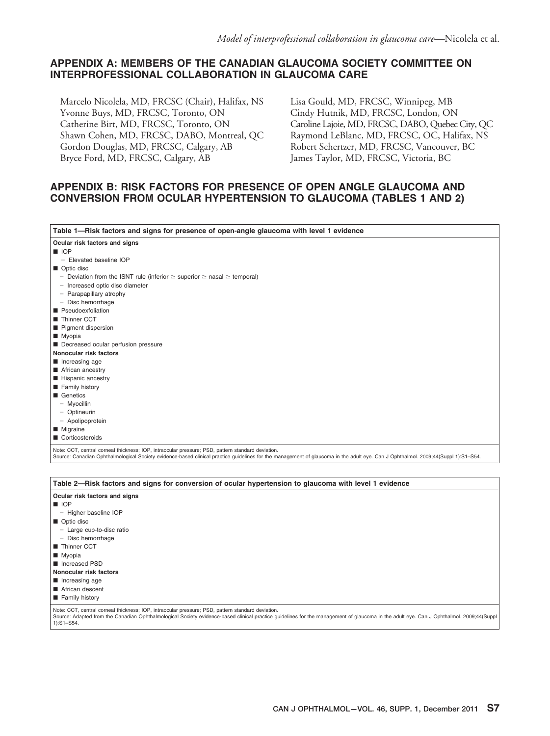# **APPENDIX A: MEMBERS OF THE CANADIAN GLAUCOMA SOCIETY COMMITTEE ON INTERPROFESSIONAL COLLABORATION IN GLAUCOMA CARE**

Marcelo Nicolela, MD, FRCSC (Chair), Halifax, NS Yvonne Buys, MD, FRCSC, Toronto, ON Catherine Birt, MD, FRCSC, Toronto, ON Shawn Cohen, MD, FRCSC, DABO, Montreal, QC Gordon Douglas, MD, FRCSC, Calgary, AB Bryce Ford, MD, FRCSC, Calgary, AB

Lisa Gould, MD, FRCSC, Winnipeg, MB Cindy Hutnik, MD, FRCSC, London, ON Caroline Lajoie, MD, FRCSC, DABO, Quebec City, QC Raymond LeBlanc, MD, FRCSC, OC, Halifax, NS Robert Schertzer, MD, FRCSC, Vancouver, BC James Taylor, MD, FRCSC, Victoria, BC

# **APPENDIX B: RISK FACTORS FOR PRESENCE OF OPEN ANGLE GLAUCOMA AND CONVERSION FROM OCULAR HYPERTENSION TO GLAUCOMA (TABLES 1 AND 2)**

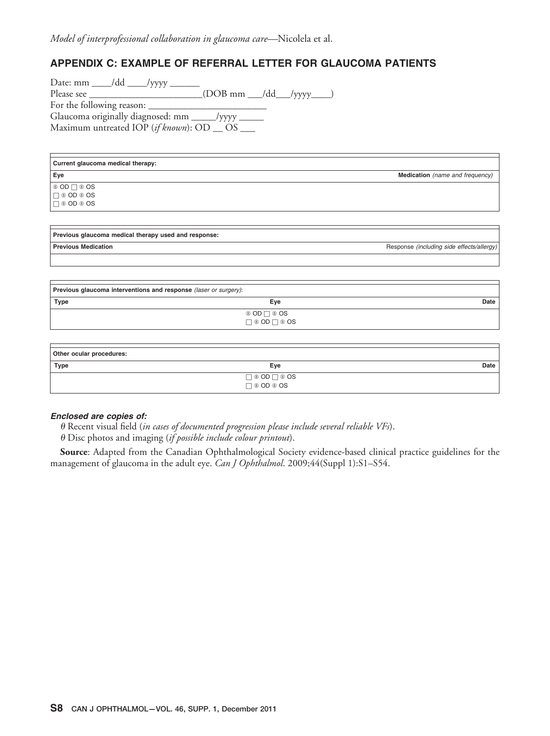# **APPENDIX C: EXAMPLE OF REFERRAL LETTER FOR GLAUCOMA PATIENTS**

| Date: mm $\_\_\$ /dd $\_\_\$ /yyyy                 |                                            |  |  |
|----------------------------------------------------|--------------------------------------------|--|--|
| Please see <b>Section</b>                          | $(DOB \, mm \_\_ / dd \_\/ y y y y \_\_ )$ |  |  |
| For the following reason: _______                  |                                            |  |  |
| Glaucoma originally diagnosed: mm _____/yyyy _____ |                                            |  |  |
| Maximum untreated IOP (if known): OD _ OS _        |                                            |  |  |

| Current glaucoma medical therapy:  |
|------------------------------------|
| Eve                                |
| <b>8 OD □ 8 OS</b>                 |
| $\sim$ $\sim$ $\sim$ $\sim$ $\sim$ |

□ ➇ OD ➇ OS □ ➇ OD ➇ OS

| Previous glaucoma medical therapy used and response: |                                           |
|------------------------------------------------------|-------------------------------------------|
| <b>Previous Medication</b>                           | Response (including side effects/allergy) |

| Previous glaucoma interventions and response (laser or surgery): |                                          |      |
|------------------------------------------------------------------|------------------------------------------|------|
| Type                                                             | Eve                                      | Date |
|                                                                  | $\circledcirc$ OD $\Box \circledcirc$ OS |      |
|                                                                  | $\Box$ ® OD $\Box$ ® OS                  |      |

**Medication** *(name and frequency)* 

| Other ocular procedures: |                                             |      |
|--------------------------|---------------------------------------------|------|
| <b>Type</b>              | Eye                                         | Date |
|                          | $\Box$ ® OD $\Box$ ® OS<br>$\Box$ ® OD ® OS |      |

## *Enclosed are copies of:*

Recent visual field (*in cases of documented progression please include several reliable VFs*).

Disc photos and imaging (*if possible include colour printout*).

**Source**: Adapted from the Canadian Ophthalmological Society evidence-based clinical practice guidelines for the management of glaucoma in the adult eye. *Can J Ophthalmol*. 2009;44(Suppl 1):S1–S54.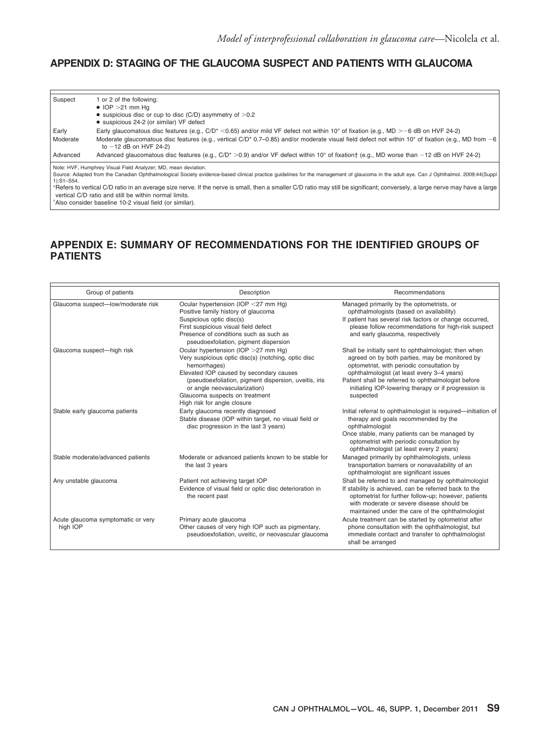# **APPENDIX D: STAGING OF THE GLAUCOMA SUSPECT AND PATIENTS WITH GLAUCOMA**

| Suspect        | 1 or 2 of the following:<br>$\bullet$ IOP $>$ 21 mm Hq<br>• suspicious disc or cup to disc (C/D) asymmetry of $>0.2$<br>• suspicious 24-2 (or similar) VF defect                                                                                                                                                                                                                                                                          |
|----------------|-------------------------------------------------------------------------------------------------------------------------------------------------------------------------------------------------------------------------------------------------------------------------------------------------------------------------------------------------------------------------------------------------------------------------------------------|
| Early          | Early glaucomatous disc features (e.g., $C/D^*$ <0.65) and/or mild VF defect not within 10° of fixation (e.g., MD > -6 dB on HVF 24-2)                                                                                                                                                                                                                                                                                                    |
| Moderate       | Moderate glaucomatous disc features (e.g., vertical $C/D^*$ 0.7–0.85) and/or moderate visual field defect not within 10° of fixation (e.g., MD from -6<br>to $-12$ dB on HVF 24-2)                                                                                                                                                                                                                                                        |
| Advanced       | Advanced glaucomatous disc features (e.g., $C/D^* > 0.9$ ) and/or VF defect within 10° of fixation t(e.g., MD worse than -12 dB on HVF 24-2)                                                                                                                                                                                                                                                                                              |
| $1):S1 - S54.$ | Note: HVF, Humphrey Visual Field Analyzer; MD, mean deviation.<br>Source: Adapted from the Canadian Ophthalmological Society evidence-based clinical practice quidelines for the management of glaucoma in the adult eye. Can J Ophthalmol. 2009;44(Suppl<br>*Refers to vertical C/D ratio in an average size nerve. If the nerve is small, then a smaller C/D ratio may still be significant; conversely, a large nerve may have a large |

vertical C/D ratio and still be within normal limits.

† Also consider baseline 10-2 visual field (or similar).

# **APPENDIX E: SUMMARY OF RECOMMENDATIONS FOR THE IDENTIFIED GROUPS OF PATIENTS**

| Group of patients                              | Description                                                                                                                                                                                                                                                                                                      | Recommendations                                                                                                                                                                                                                                                                                                                 |
|------------------------------------------------|------------------------------------------------------------------------------------------------------------------------------------------------------------------------------------------------------------------------------------------------------------------------------------------------------------------|---------------------------------------------------------------------------------------------------------------------------------------------------------------------------------------------------------------------------------------------------------------------------------------------------------------------------------|
| Glaucoma suspect-low/moderate risk             | Ocular hypertension (IOP <27 mm Hq)<br>Positive family history of glaucoma<br>Suspicious optic disc(s)<br>First suspicious visual field defect<br>Presence of conditions such as such as<br>pseudoexfoliation, pigment dispersion                                                                                | Managed primarily by the optometrists, or<br>ophthalmologists (based on availability)<br>If patient has several risk factors or change occurred,<br>please follow recommendations for high-risk suspect<br>and early glaucoma, respectively                                                                                     |
| Glaucoma suspect-high risk                     | Ocular hypertension (IOP > 27 mm Hg)<br>Very suspicious optic disc(s) (notching, optic disc<br>hemorrhages)<br>Elevated IOP caused by secondary causes<br>(pseudoexfoliation, pigment dispersion, uveitis, iris<br>or angle neovascularization)<br>Glaucoma suspects on treatment<br>High risk for angle closure | Shall be initially sent to ophthalmologist; then when<br>agreed on by both parties, may be monitored by<br>optometrist, with periodic consultation by<br>ophthalmologist (at least every 3-4 years)<br>Patient shall be referred to ophthalmologist before<br>initiating IOP-lowering therapy or if progression is<br>suspected |
| Stable early glaucoma patients                 | Early glaucoma recently diagnosed<br>Stable disease (IOP within target, no visual field or<br>disc progression in the last 3 years)                                                                                                                                                                              | Initial referral to ophthalmologist is required-initiation of<br>therapy and goals recommended by the<br>ophthalmologist<br>Once stable, many patients can be managed by<br>optometrist with periodic consultation by<br>ophthalmologist (at least every 2 years)                                                               |
| Stable moderate/advanced patients              | Moderate or advanced patients known to be stable for<br>the last 3 years                                                                                                                                                                                                                                         | Managed primarily by ophthalmologists, unless<br>transportation barriers or nonavailability of an<br>ophthalmologist are significant issues                                                                                                                                                                                     |
| Any unstable glaucoma                          | Patient not achieving target IOP<br>Evidence of visual field or optic disc deterioration in<br>the recent past                                                                                                                                                                                                   | Shall be referred to and managed by ophthalmologist<br>If stability is achieved, can be referred back to the<br>optometrist for further follow-up; however, patients<br>with moderate or severe disease should be<br>maintained under the care of the ophthalmologist                                                           |
| Acute glaucoma symptomatic or very<br>high IOP | Primary acute glaucoma<br>Other causes of very high IOP such as pigmentary,<br>pseudoexfoliation, uveitic, or neovascular glaucoma                                                                                                                                                                               | Acute treatment can be started by optometrist after<br>phone consultation with the ophthalmologist, but<br>immediate contact and transfer to ophthalmologist<br>shall be arranged                                                                                                                                               |